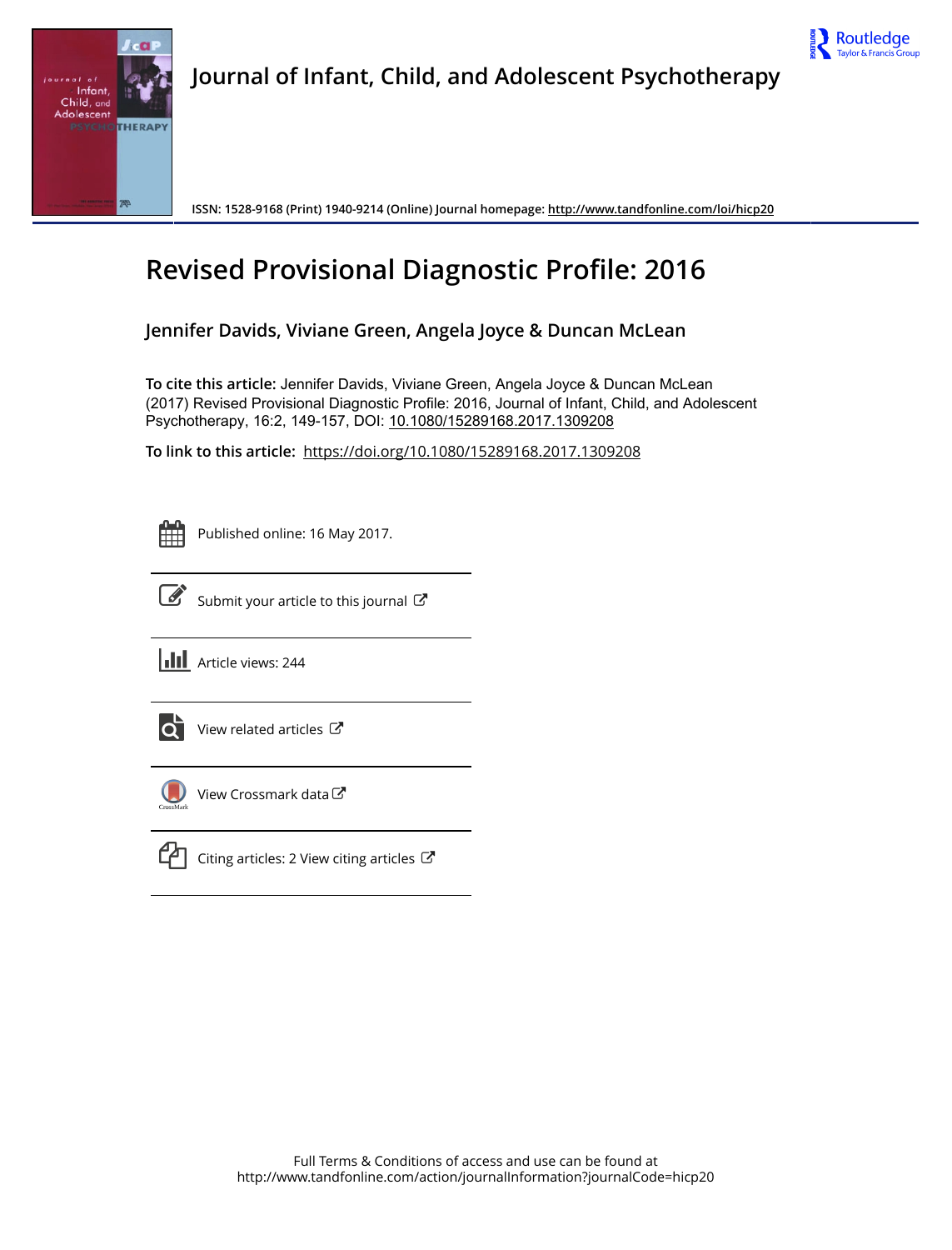

# **Journal of Infant, Child, and Adolescent Psychotherapy**



**ISSN: 1528-9168 (Print) 1940-9214 (Online) Journal homepage:<http://www.tandfonline.com/loi/hicp20>**

# **Revised Provisional Diagnostic Profile: 2016**

**Jennifer Davids, Viviane Green, Angela Joyce & Duncan McLean**

**To cite this article:** Jennifer Davids, Viviane Green, Angela Joyce & Duncan McLean (2017) Revised Provisional Diagnostic Profile: 2016, Journal of Infant, Child, and Adolescent Psychotherapy, 16:2, 149-157, DOI: [10.1080/15289168.2017.1309208](http://www.tandfonline.com/action/showCitFormats?doi=10.1080/15289168.2017.1309208)

**To link to this article:** <https://doi.org/10.1080/15289168.2017.1309208>



Published online: 16 May 2017.



 $\overrightarrow{S}$  [Submit your article to this journal](http://www.tandfonline.com/action/authorSubmission?journalCode=hicp20&show=instructions)  $\overrightarrow{S}$ 

**Article views: 244** 



 $\overrightarrow{Q}$  [View related articles](http://www.tandfonline.com/doi/mlt/10.1080/15289168.2017.1309208)  $\overrightarrow{C}$ 



[View Crossmark data](http://crossmark.crossref.org/dialog/?doi=10.1080/15289168.2017.1309208&domain=pdf&date_stamp=2017-05-16)<sup>C</sup>



[Citing articles: 2 View citing articles](http://www.tandfonline.com/doi/citedby/10.1080/15289168.2017.1309208#tabModule)  $\mathbb{Z}$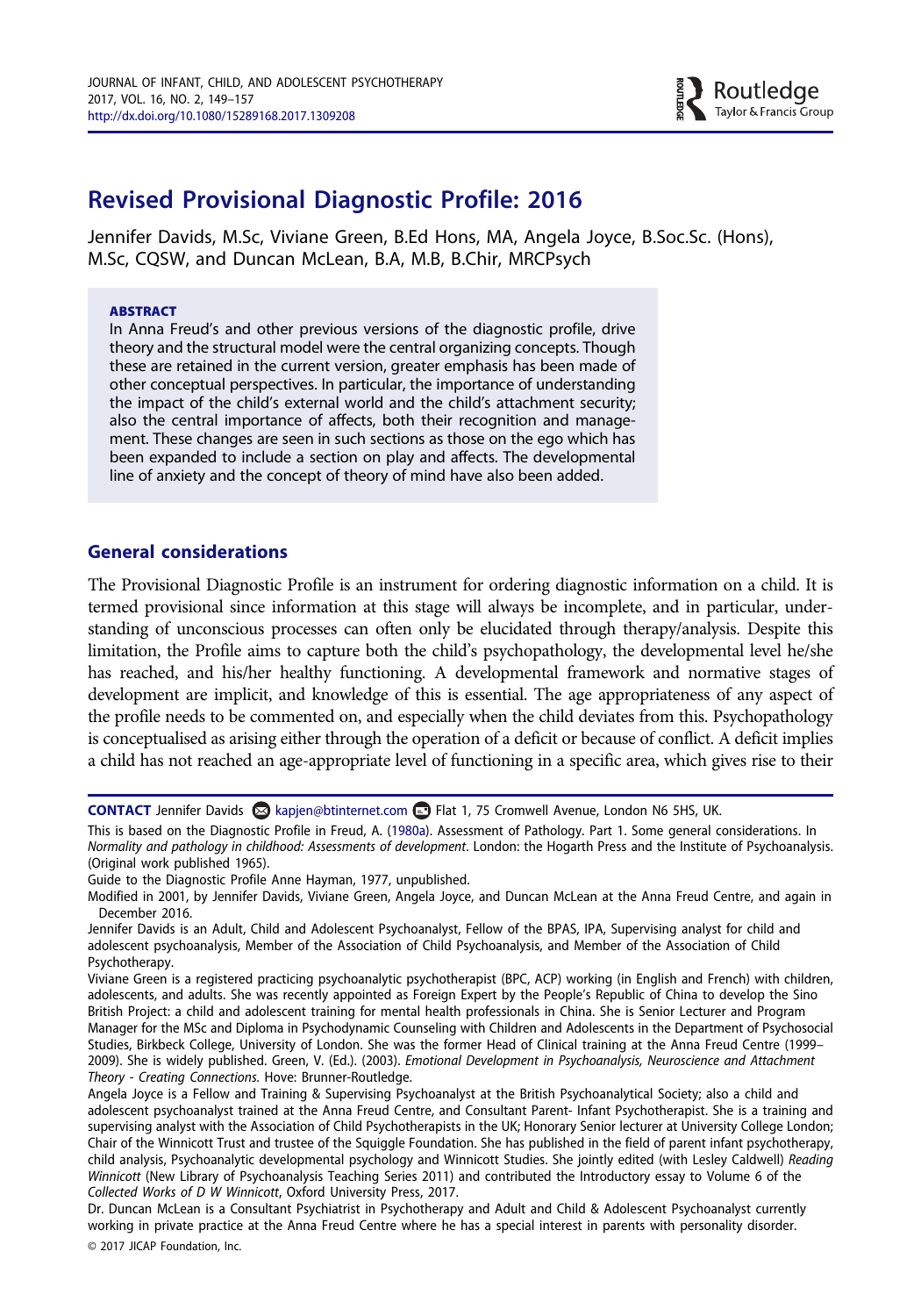

# Revised Provisional Diagnostic Profile: 2016

Jennifer Davids, M.Sc, Viviane Green, B.Ed Hons, MA, Angela Joyce, B.Soc.Sc. (Hons), M.Sc, CQSW, and Duncan McLean, B.A, M.B, B.Chir, MRCPsych

#### ABSTRACT

In Anna Freud's and other previous versions of the diagnostic profile, drive theory and the structural model were the central organizing concepts. Though these are retained in the current version, greater emphasis has been made of other conceptual perspectives. In particular, the importance of understanding the impact of the child's external world and the child's attachment security; also the central importance of affects, both their recognition and management. These changes are seen in such sections as those on the ego which has been expanded to include a section on play and affects. The developmental line of anxiety and the concept of theory of mind have also been added.

# General considerations

The Provisional Diagnostic Profile is an instrument for ordering diagnostic information on a child. It is termed provisional since information at this stage will always be incomplete, and in particular, understanding of unconscious processes can often only be elucidated through therapy/analysis. Despite this limitation, the Profile aims to capture both the child's psychopathology, the developmental level he/she has reached, and his/her healthy functioning. A developmental framework and normative stages of development are implicit, and knowledge of this is essential. The age appropriateness of any aspect of the profile needs to be commented on, and especially when the child deviates from this. Psychopathology is conceptualised as arising either through the operation of a deficit or because of conflict. A deficit implies a child has not reached an age-appropriate level of functioning in a specific area, which gives rise to their

CONTACT Jennifer Davids kapjen@btinternet.com Flat 1, 75 Cromwell Avenue, London N6 5HS, UK.

This is based on the Diagnostic Profile in Freud, A. [\(1980a\)](#page-8-0). Assessment of Pathology. Part 1. Some general considerations. In Normality and pathology in childhood: Assessments of development. London: the Hogarth Press and the Institute of Psychoanalysis. (Original work published 1965).

Guide to the Diagnostic Profile Anne Hayman, 1977, unpublished.

Jennifer Davids is an Adult, Child and Adolescent Psychoanalyst, Fellow of the BPAS, IPA, Supervising analyst for child and adolescent psychoanalysis, Member of the Association of Child Psychoanalysis, and Member of the Association of Child Psychotherapy.

Viviane Green is a registered practicing psychoanalytic psychotherapist (BPC, ACP) working (in English and French) with children, adolescents, and adults. She was recently appointed as Foreign Expert by the People's Republic of China to develop the Sino British Project: a child and adolescent training for mental health professionals in China. She is Senior Lecturer and Program Manager for the MSc and Diploma in Psychodynamic Counseling with Children and Adolescents in the Department of Psychosocial Studies, Birkbeck College, University of London. She was the former Head of Clinical training at the Anna Freud Centre (1999– 2009). She is widely published. Green, V. (Ed.). (2003). Emotional Development in Psychoanalysis, Neuroscience and Attachment Theory - Creating Connections. Hove: Brunner-Routledge.

Angela Joyce is a Fellow and Training & Supervising Psychoanalyst at the British Psychoanalytical Society; also a child and adolescent psychoanalyst trained at the Anna Freud Centre, and Consultant Parent- Infant Psychotherapist. She is a training and supervising analyst with the Association of Child Psychotherapists in the UK; Honorary Senior lecturer at University College London; Chair of the Winnicott Trust and trustee of the Squiggle Foundation. She has published in the field of parent infant psychotherapy, child analysis, Psychoanalytic developmental psychology and Winnicott Studies. She jointly edited (with Lesley Caldwell) Reading Winnicott (New Library of Psychoanalysis Teaching Series 2011) and contributed the Introductory essay to Volume 6 of the Collected Works of D W Winnicott, Oxford University Press, 2017.

Dr. Duncan McLean is a Consultant Psychiatrist in Psychotherapy and Adult and Child & Adolescent Psychoanalyst currently working in private practice at the Anna Freud Centre where he has a special interest in parents with personality disorder.

Modified in 2001, by Jennifer Davids, Viviane Green, Angela Joyce, and Duncan McLean at the Anna Freud Centre, and again in December 2016.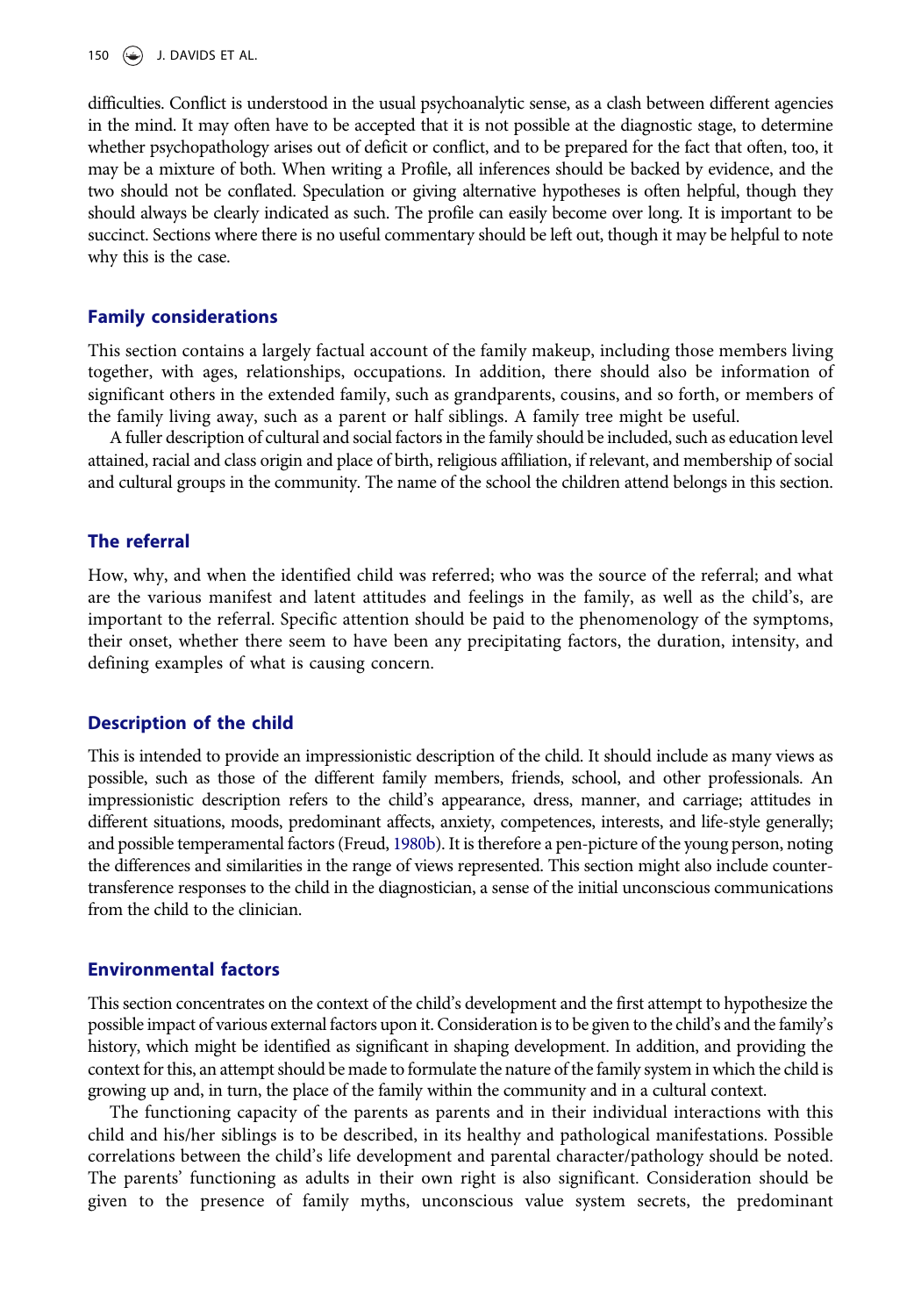difficulties. Conflict is understood in the usual psychoanalytic sense, as a clash between different agencies in the mind. It may often have to be accepted that it is not possible at the diagnostic stage, to determine whether psychopathology arises out of deficit or conflict, and to be prepared for the fact that often, too, it may be a mixture of both. When writing a Profile, all inferences should be backed by evidence, and the two should not be conflated. Speculation or giving alternative hypotheses is often helpful, though they should always be clearly indicated as such. The profile can easily become over long. It is important to be succinct. Sections where there is no useful commentary should be left out, though it may be helpful to note why this is the case.

#### Family considerations

This section contains a largely factual account of the family makeup, including those members living together, with ages, relationships, occupations. In addition, there should also be information of significant others in the extended family, such as grandparents, cousins, and so forth, or members of the family living away, such as a parent or half siblings. A family tree might be useful.

A fuller description of cultural and social factors in the family should be included, such as education level attained, racial and class origin and place of birth, religious affiliation, if relevant, and membership of social and cultural groups in the community. The name of the school the children attend belongs in this section.

### The referral

How, why, and when the identified child was referred; who was the source of the referral; and what are the various manifest and latent attitudes and feelings in the family, as well as the child's, are important to the referral. Specific attention should be paid to the phenomenology of the symptoms, their onset, whether there seem to have been any precipitating factors, the duration, intensity, and defining examples of what is causing concern.

#### Description of the child

This is intended to provide an impressionistic description of the child. It should include as many views as possible, such as those of the different family members, friends, school, and other professionals. An impressionistic description refers to the child's appearance, dress, manner, and carriage; attitudes in different situations, moods, predominant affects, anxiety, competences, interests, and life-style generally; and possible temperamental factors (Freud, [1980b](#page-9-0)). It is therefore a pen-picture of the young person, noting the differences and similarities in the range of views represented. This section might also include countertransference responses to the child in the diagnostician, a sense of the initial unconscious communications from the child to the clinician.

#### Environmental factors

This section concentrates on the context of the child's development and the first attempt to hypothesize the possible impact of various external factors upon it. Consideration is to be given to the child's and the family's history, which might be identified as significant in shaping development. In addition, and providing the context for this, an attempt should be made to formulate the nature of the family system in which the child is growing up and, in turn, the place of the family within the community and in a cultural context.

The functioning capacity of the parents as parents and in their individual interactions with this child and his/her siblings is to be described, in its healthy and pathological manifestations. Possible correlations between the child's life development and parental character/pathology should be noted. The parents' functioning as adults in their own right is also significant. Consideration should be given to the presence of family myths, unconscious value system secrets, the predominant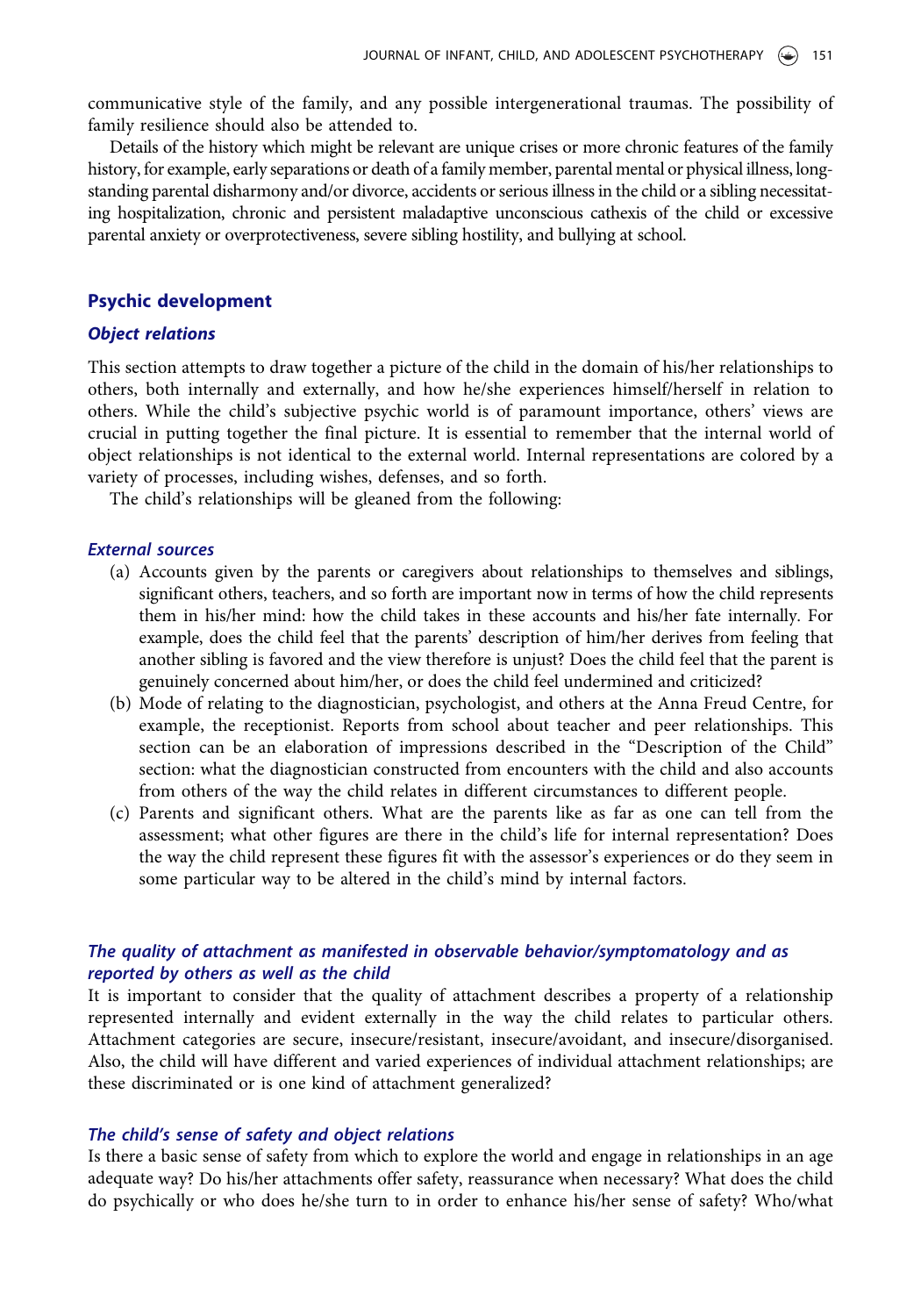communicative style of the family, and any possible intergenerational traumas. The possibility of family resilience should also be attended to.

Details of the history which might be relevant are unique crises or more chronic features of the family history, for example, early separations or death of a family member, parental mental or physical illness, longstanding parental disharmony and/or divorce, accidents or serious illness in the child or a sibling necessitating hospitalization, chronic and persistent maladaptive unconscious cathexis of the child or excessive parental anxiety or overprotectiveness, severe sibling hostility, and bullying at school.

# Psychic development

#### Object relations

This section attempts to draw together a picture of the child in the domain of his/her relationships to others, both internally and externally, and how he/she experiences himself/herself in relation to others. While the child's subjective psychic world is of paramount importance, others' views are crucial in putting together the final picture. It is essential to remember that the internal world of object relationships is not identical to the external world. Internal representations are colored by a variety of processes, including wishes, defenses, and so forth.

The child's relationships will be gleaned from the following:

#### External sources

- (a) Accounts given by the parents or caregivers about relationships to themselves and siblings, significant others, teachers, and so forth are important now in terms of how the child represents them in his/her mind: how the child takes in these accounts and his/her fate internally. For example, does the child feel that the parents' description of him/her derives from feeling that another sibling is favored and the view therefore is unjust? Does the child feel that the parent is genuinely concerned about him/her, or does the child feel undermined and criticized?
- (b) Mode of relating to the diagnostician, psychologist, and others at the Anna Freud Centre, for example, the receptionist. Reports from school about teacher and peer relationships. This section can be an elaboration of impressions described in the "Description of the Child" section: what the diagnostician constructed from encounters with the child and also accounts from others of the way the child relates in different circumstances to different people.
- (c) Parents and significant others. What are the parents like as far as one can tell from the assessment; what other figures are there in the child's life for internal representation? Does the way the child represent these figures fit with the assessor's experiences or do they seem in some particular way to be altered in the child's mind by internal factors.

# The quality of attachment as manifested in observable behavior/symptomatology and as reported by others as well as the child

It is important to consider that the quality of attachment describes a property of a relationship represented internally and evident externally in the way the child relates to particular others. Attachment categories are secure, insecure/resistant, insecure/avoidant, and insecure/disorganised. Also, the child will have different and varied experiences of individual attachment relationships; are these discriminated or is one kind of attachment generalized?

#### The child's sense of safety and object relations

Is there a basic sense of safety from which to explore the world and engage in relationships in an age adequate way? Do his/her attachments offer safety, reassurance when necessary? What does the child do psychically or who does he/she turn to in order to enhance his/her sense of safety? Who/what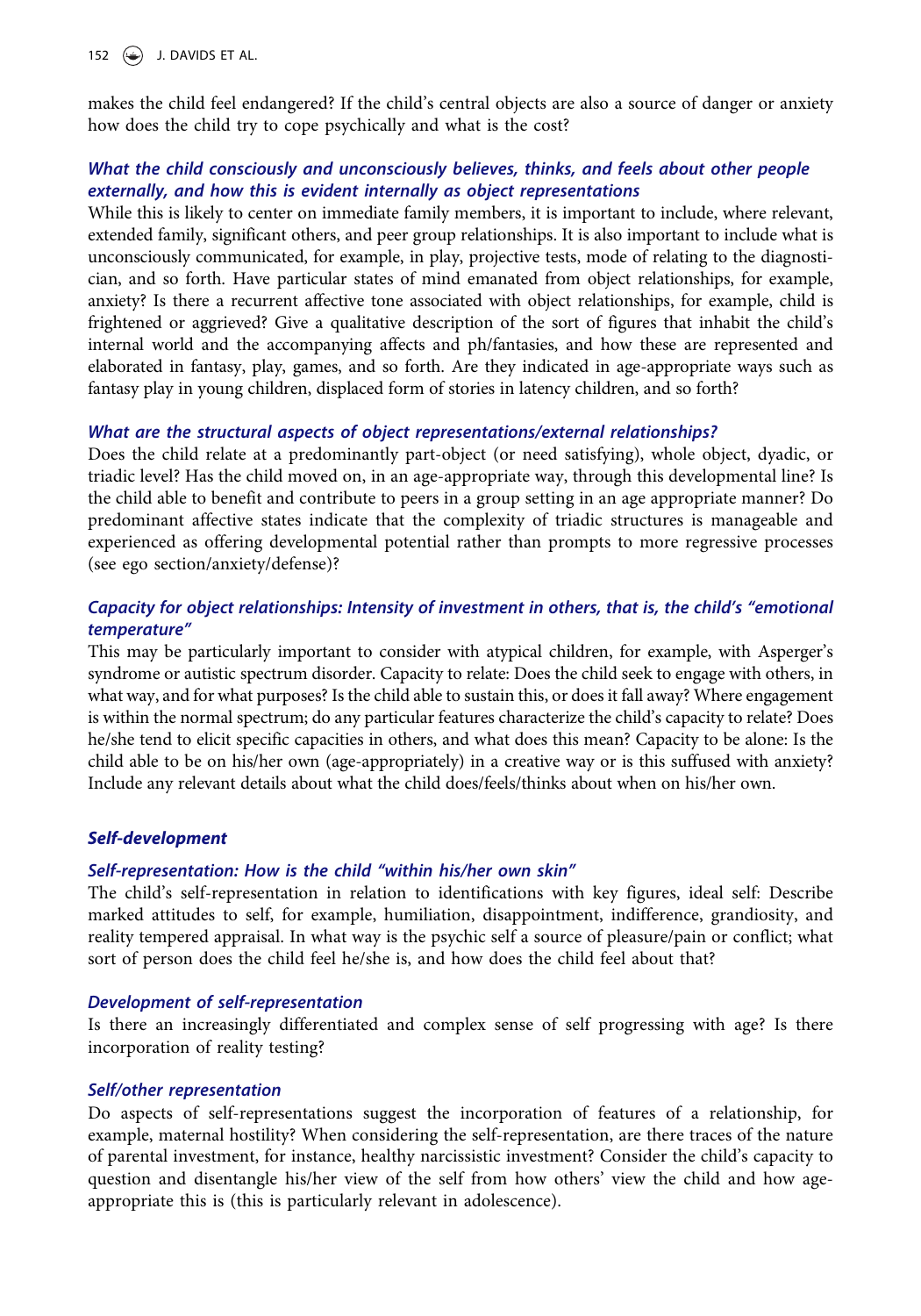makes the child feel endangered? If the child's central objects are also a source of danger or anxiety how does the child try to cope psychically and what is the cost?

# What the child consciously and unconsciously believes, thinks, and feels about other people externally, and how this is evident internally as object representations

While this is likely to center on immediate family members, it is important to include, where relevant, extended family, significant others, and peer group relationships. It is also important to include what is unconsciously communicated, for example, in play, projective tests, mode of relating to the diagnostician, and so forth. Have particular states of mind emanated from object relationships, for example, anxiety? Is there a recurrent affective tone associated with object relationships, for example, child is frightened or aggrieved? Give a qualitative description of the sort of figures that inhabit the child's internal world and the accompanying affects and ph/fantasies, and how these are represented and elaborated in fantasy, play, games, and so forth. Are they indicated in age-appropriate ways such as fantasy play in young children, displaced form of stories in latency children, and so forth?

# What are the structural aspects of object representations/external relationships?

Does the child relate at a predominantly part-object (or need satisfying), whole object, dyadic, or triadic level? Has the child moved on, in an age-appropriate way, through this developmental line? Is the child able to benefit and contribute to peers in a group setting in an age appropriate manner? Do predominant affective states indicate that the complexity of triadic structures is manageable and experienced as offering developmental potential rather than prompts to more regressive processes (see ego section/anxiety/defense)?

# Capacity for object relationships: Intensity of investment in others, that is, the child's "emotional temperature"

This may be particularly important to consider with atypical children, for example, with Asperger's syndrome or autistic spectrum disorder. Capacity to relate: Does the child seek to engage with others, in what way, and for what purposes? Is the child able to sustain this, or does it fall away? Where engagement is within the normal spectrum; do any particular features characterize the child's capacity to relate? Does he/she tend to elicit specific capacities in others, and what does this mean? Capacity to be alone: Is the child able to be on his/her own (age-appropriately) in a creative way or is this suffused with anxiety? Include any relevant details about what the child does/feels/thinks about when on his/her own.

# Self-development

# Self-representation: How is the child "within his/her own skin"

The child's self-representation in relation to identifications with key figures, ideal self: Describe marked attitudes to self, for example, humiliation, disappointment, indifference, grandiosity, and reality tempered appraisal. In what way is the psychic self a source of pleasure/pain or conflict; what sort of person does the child feel he/she is, and how does the child feel about that?

# Development of self-representation

Is there an increasingly differentiated and complex sense of self progressing with age? Is there incorporation of reality testing?

#### Self/other representation

Do aspects of self-representations suggest the incorporation of features of a relationship, for example, maternal hostility? When considering the self-representation, are there traces of the nature of parental investment, for instance, healthy narcissistic investment? Consider the child's capacity to question and disentangle his/her view of the self from how others' view the child and how ageappropriate this is (this is particularly relevant in adolescence).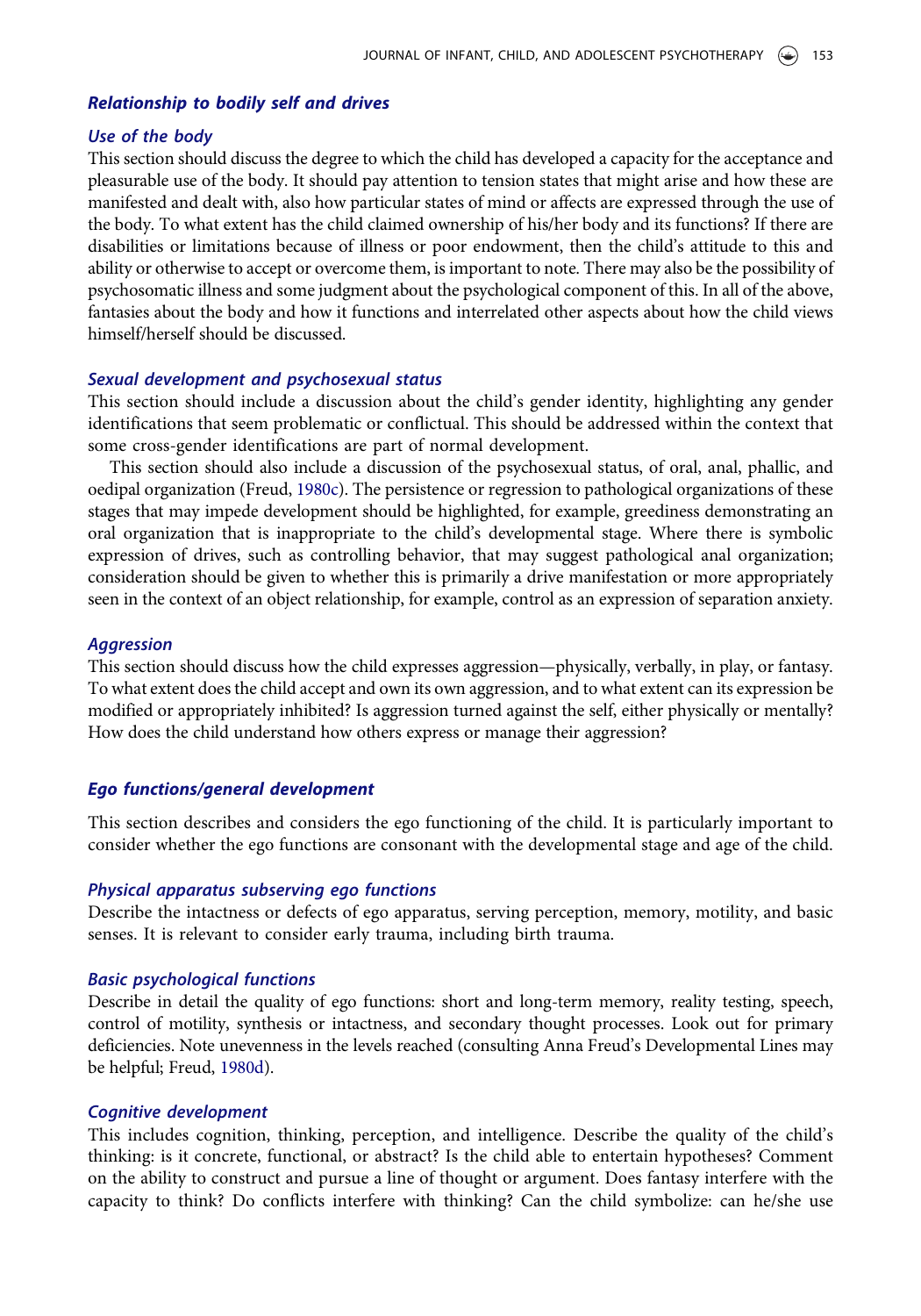#### Relationship to bodily self and drives

#### Use of the body

This section should discuss the degree to which the child has developed a capacity for the acceptance and pleasurable use of the body. It should pay attention to tension states that might arise and how these are manifested and dealt with, also how particular states of mind or affects are expressed through the use of the body. To what extent has the child claimed ownership of his/her body and its functions? If there are disabilities or limitations because of illness or poor endowment, then the child's attitude to this and ability or otherwise to accept or overcome them, is important to note. There may also be the possibility of psychosomatic illness and some judgment about the psychological component of this. In all of the above, fantasies about the body and how it functions and interrelated other aspects about how the child views himself/herself should be discussed.

#### Sexual development and psychosexual status

This section should include a discussion about the child's gender identity, highlighting any gender identifications that seem problematic or conflictual. This should be addressed within the context that some cross-gender identifications are part of normal development.

This section should also include a discussion of the psychosexual status, of oral, anal, phallic, and oedipal organization (Freud, [1980c](#page-9-1)). The persistence or regression to pathological organizations of these stages that may impede development should be highlighted, for example, greediness demonstrating an oral organization that is inappropriate to the child's developmental stage. Where there is symbolic expression of drives, such as controlling behavior, that may suggest pathological anal organization; consideration should be given to whether this is primarily a drive manifestation or more appropriately seen in the context of an object relationship, for example, control as an expression of separation anxiety.

#### Aggression

This section should discuss how the child expresses aggression—physically, verbally, in play, or fantasy. To what extent does the child accept and own its own aggression, and to what extent can its expression be modified or appropriately inhibited? Is aggression turned against the self, either physically or mentally? How does the child understand how others express or manage their aggression?

#### Ego functions/general development

This section describes and considers the ego functioning of the child. It is particularly important to consider whether the ego functions are consonant with the developmental stage and age of the child.

#### Physical apparatus subserving ego functions

Describe the intactness or defects of ego apparatus, serving perception, memory, motility, and basic senses. It is relevant to consider early trauma, including birth trauma.

#### Basic psychological functions

Describe in detail the quality of ego functions: short and long-term memory, reality testing, speech, control of motility, synthesis or intactness, and secondary thought processes. Look out for primary deficiencies. Note unevenness in the levels reached (consulting Anna Freud's Developmental Lines may be helpful; Freud, [1980d](#page-9-2)).

#### Cognitive development

This includes cognition, thinking, perception, and intelligence. Describe the quality of the child's thinking: is it concrete, functional, or abstract? Is the child able to entertain hypotheses? Comment on the ability to construct and pursue a line of thought or argument. Does fantasy interfere with the capacity to think? Do conflicts interfere with thinking? Can the child symbolize: can he/she use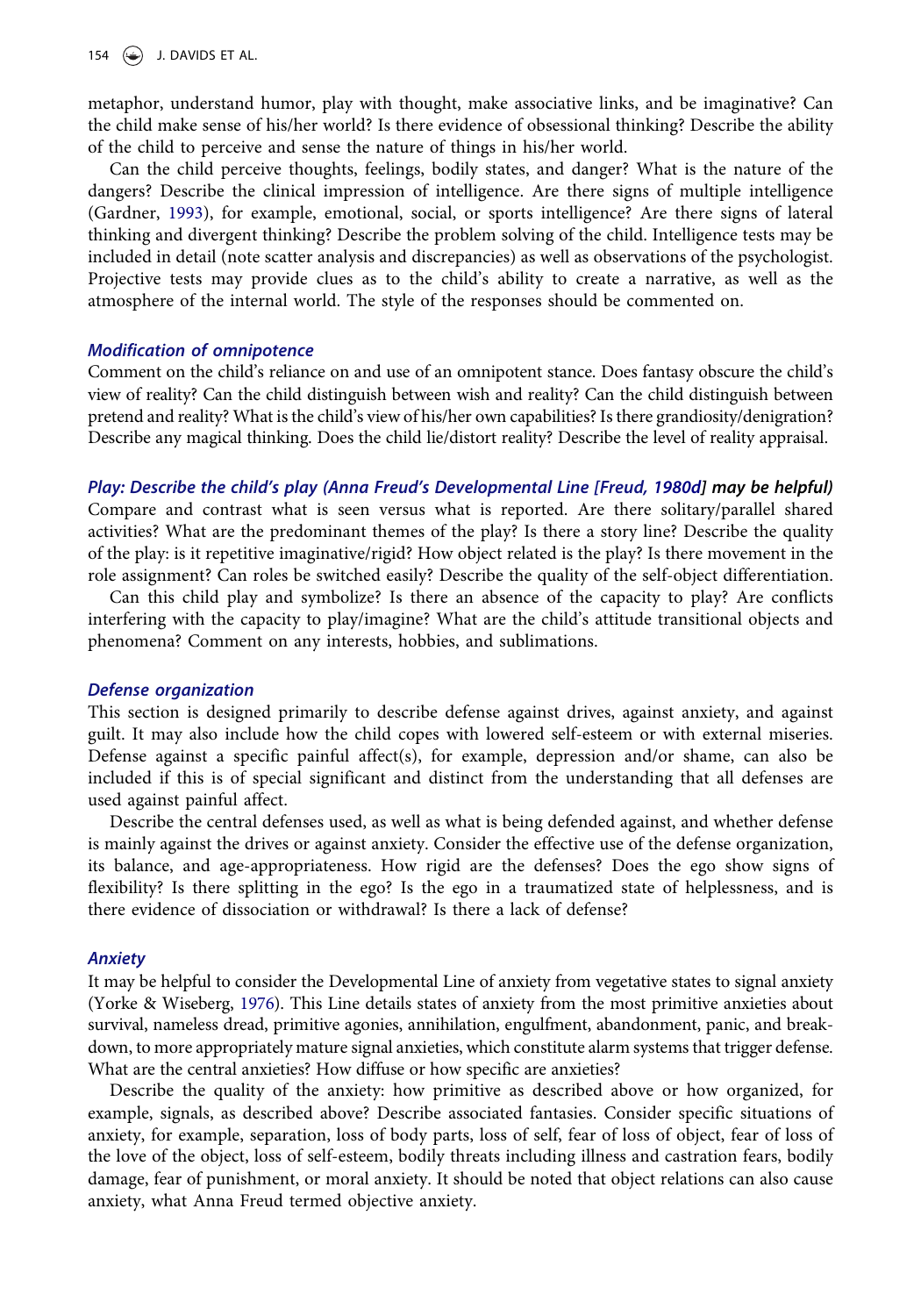metaphor, understand humor, play with thought, make associative links, and be imaginative? Can the child make sense of his/her world? Is there evidence of obsessional thinking? Describe the ability of the child to perceive and sense the nature of things in his/her world.

Can the child perceive thoughts, feelings, bodily states, and danger? What is the nature of the dangers? Describe the clinical impression of intelligence. Are there signs of multiple intelligence (Gardner, [1993](#page-9-3)), for example, emotional, social, or sports intelligence? Are there signs of lateral thinking and divergent thinking? Describe the problem solving of the child. Intelligence tests may be included in detail (note scatter analysis and discrepancies) as well as observations of the psychologist. Projective tests may provide clues as to the child's ability to create a narrative, as well as the atmosphere of the internal world. The style of the responses should be commented on.

#### Modification of omnipotence

Comment on the child's reliance on and use of an omnipotent stance. Does fantasy obscure the child's view of reality? Can the child distinguish between wish and reality? Can the child distinguish between pretend and reality? What is the child's view of his/her own capabilities? Is there grandiosity/denigration? Describe any magical thinking. Does the child lie/distort reality? Describe the level of reality appraisal.

Play: Describe the child's play (Anna Freud's Developmental Line [Freud, [1980d\]](#page-9-2) may be helpful) Compare and contrast what is seen versus what is reported. Are there solitary/parallel shared activities? What are the predominant themes of the play? Is there a story line? Describe the quality of the play: is it repetitive imaginative/rigid? How object related is the play? Is there movement in the role assignment? Can roles be switched easily? Describe the quality of the self-object differentiation.

Can this child play and symbolize? Is there an absence of the capacity to play? Are conflicts interfering with the capacity to play/imagine? What are the child's attitude transitional objects and phenomena? Comment on any interests, hobbies, and sublimations.

#### Defense organization

This section is designed primarily to describe defense against drives, against anxiety, and against guilt. It may also include how the child copes with lowered self-esteem or with external miseries. Defense against a specific painful affect(s), for example, depression and/or shame, can also be included if this is of special significant and distinct from the understanding that all defenses are used against painful affect.

Describe the central defenses used, as well as what is being defended against, and whether defense is mainly against the drives or against anxiety. Consider the effective use of the defense organization, its balance, and age-appropriateness. How rigid are the defenses? Does the ego show signs of flexibility? Is there splitting in the ego? Is the ego in a traumatized state of helplessness, and is there evidence of dissociation or withdrawal? Is there a lack of defense?

#### Anxiety

It may be helpful to consider the Developmental Line of anxiety from vegetative states to signal anxiety (Yorke & Wiseberg, [1976\)](#page-9-4). This Line details states of anxiety from the most primitive anxieties about survival, nameless dread, primitive agonies, annihilation, engulfment, abandonment, panic, and breakdown, to more appropriately mature signal anxieties, which constitute alarm systems that trigger defense. What are the central anxieties? How diffuse or how specific are anxieties?

Describe the quality of the anxiety: how primitive as described above or how organized, for example, signals, as described above? Describe associated fantasies. Consider specific situations of anxiety, for example, separation, loss of body parts, loss of self, fear of loss of object, fear of loss of the love of the object, loss of self-esteem, bodily threats including illness and castration fears, bodily damage, fear of punishment, or moral anxiety. It should be noted that object relations can also cause anxiety, what Anna Freud termed objective anxiety.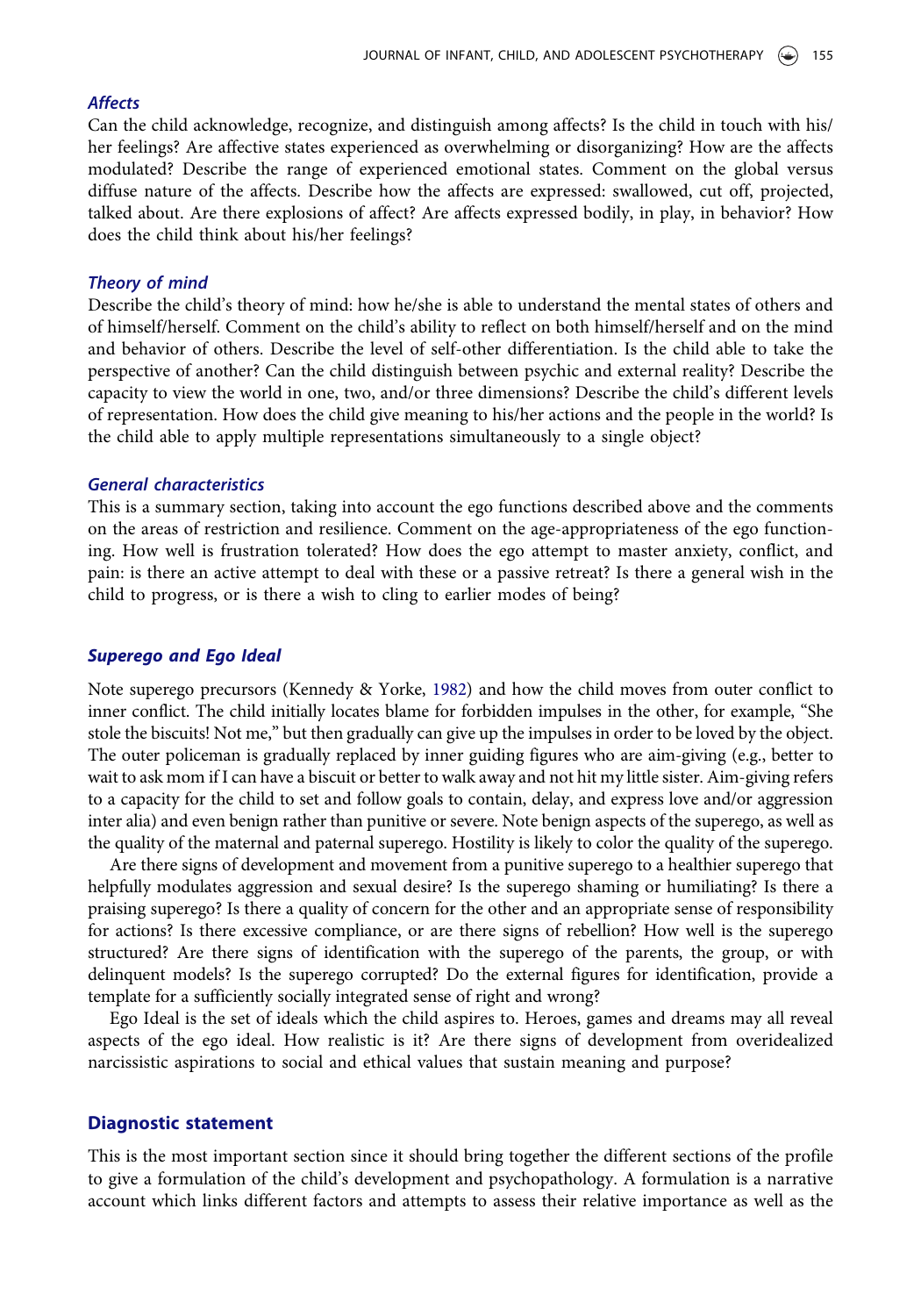#### Affects

Can the child acknowledge, recognize, and distinguish among affects? Is the child in touch with his/ her feelings? Are affective states experienced as overwhelming or disorganizing? How are the affects modulated? Describe the range of experienced emotional states. Comment on the global versus diffuse nature of the affects. Describe how the affects are expressed: swallowed, cut off, projected, talked about. Are there explosions of affect? Are affects expressed bodily, in play, in behavior? How does the child think about his/her feelings?

#### Theory of mind

Describe the child's theory of mind: how he/she is able to understand the mental states of others and of himself/herself. Comment on the child's ability to reflect on both himself/herself and on the mind and behavior of others. Describe the level of self-other differentiation. Is the child able to take the perspective of another? Can the child distinguish between psychic and external reality? Describe the capacity to view the world in one, two, and/or three dimensions? Describe the child's different levels of representation. How does the child give meaning to his/her actions and the people in the world? Is the child able to apply multiple representations simultaneously to a single object?

#### General characteristics

This is a summary section, taking into account the ego functions described above and the comments on the areas of restriction and resilience. Comment on the age-appropriateness of the ego functioning. How well is frustration tolerated? How does the ego attempt to master anxiety, conflict, and pain: is there an active attempt to deal with these or a passive retreat? Is there a general wish in the child to progress, or is there a wish to cling to earlier modes of being?

#### Superego and Ego Ideal

Note superego precursors (Kennedy & Yorke, [1982](#page-9-5)) and how the child moves from outer conflict to inner conflict. The child initially locates blame for forbidden impulses in the other, for example, "She stole the biscuits! Not me," but then gradually can give up the impulses in order to be loved by the object. The outer policeman is gradually replaced by inner guiding figures who are aim-giving (e.g., better to wait to ask mom if I can have a biscuit or better to walk away and not hit my little sister. Aim-giving refers to a capacity for the child to set and follow goals to contain, delay, and express love and/or aggression inter alia) and even benign rather than punitive or severe. Note benign aspects of the superego, as well as the quality of the maternal and paternal superego. Hostility is likely to color the quality of the superego.

Are there signs of development and movement from a punitive superego to a healthier superego that helpfully modulates aggression and sexual desire? Is the superego shaming or humiliating? Is there a praising superego? Is there a quality of concern for the other and an appropriate sense of responsibility for actions? Is there excessive compliance, or are there signs of rebellion? How well is the superego structured? Are there signs of identification with the superego of the parents, the group, or with delinquent models? Is the superego corrupted? Do the external figures for identification, provide a template for a sufficiently socially integrated sense of right and wrong?

Ego Ideal is the set of ideals which the child aspires to. Heroes, games and dreams may all reveal aspects of the ego ideal. How realistic is it? Are there signs of development from overidealized narcissistic aspirations to social and ethical values that sustain meaning and purpose?

#### Diagnostic statement

This is the most important section since it should bring together the different sections of the profile to give a formulation of the child's development and psychopathology. A formulation is a narrative account which links different factors and attempts to assess their relative importance as well as the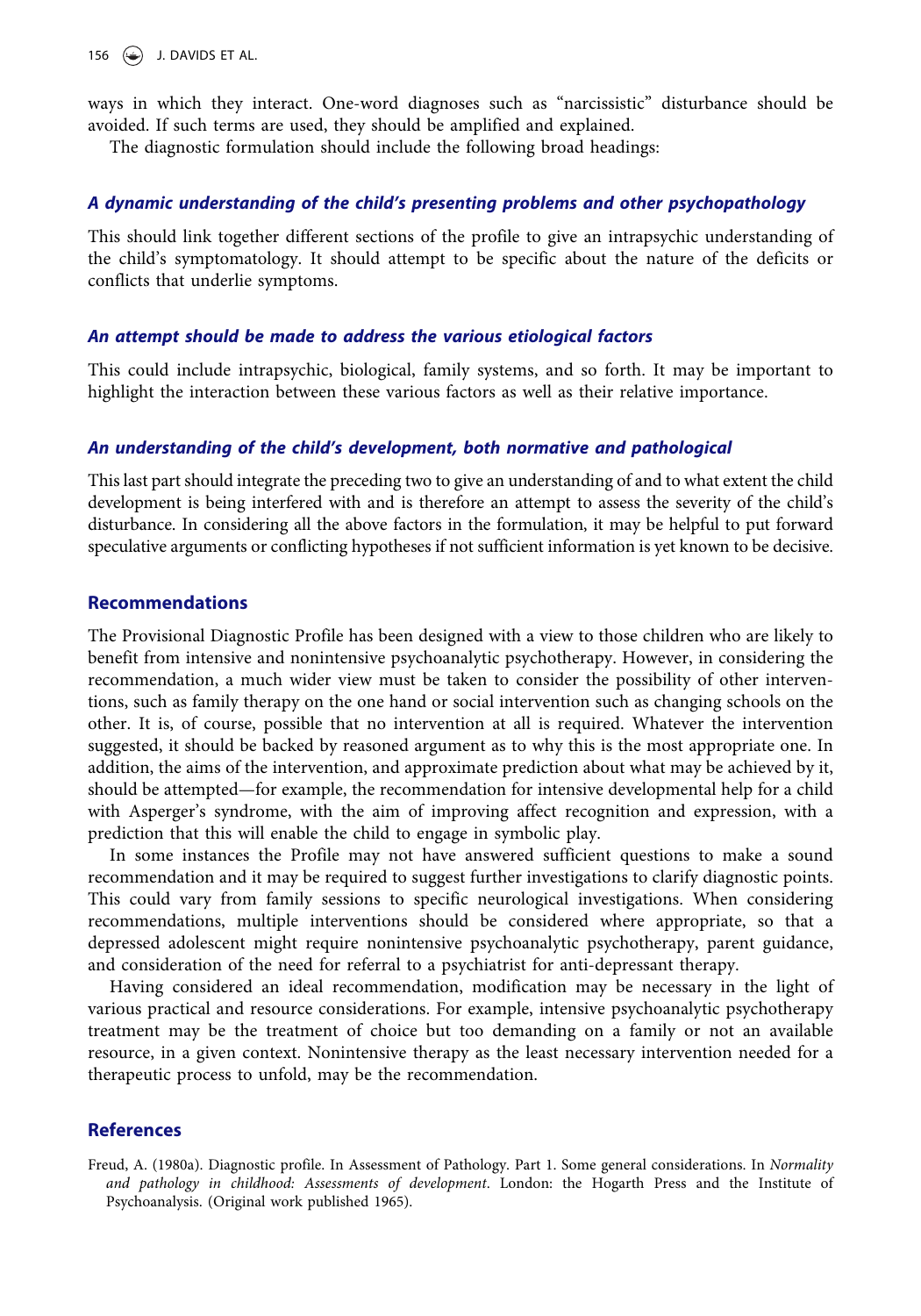ways in which they interact. One-word diagnoses such as "narcissistic" disturbance should be avoided. If such terms are used, they should be amplified and explained.

The diagnostic formulation should include the following broad headings:

#### A dynamic understanding of the child's presenting problems and other psychopathology

This should link together different sections of the profile to give an intrapsychic understanding of the child's symptomatology. It should attempt to be specific about the nature of the deficits or conflicts that underlie symptoms.

#### An attempt should be made to address the various etiological factors

This could include intrapsychic, biological, family systems, and so forth. It may be important to highlight the interaction between these various factors as well as their relative importance.

#### An understanding of the child's development, both normative and pathological

This last part should integrate the preceding two to give an understanding of and to what extent the child development is being interfered with and is therefore an attempt to assess the severity of the child's disturbance. In considering all the above factors in the formulation, it may be helpful to put forward speculative arguments or conflicting hypotheses if not sufficient information is yet known to be decisive.

#### Recommendations

The Provisional Diagnostic Profile has been designed with a view to those children who are likely to benefit from intensive and nonintensive psychoanalytic psychotherapy. However, in considering the recommendation, a much wider view must be taken to consider the possibility of other interventions, such as family therapy on the one hand or social intervention such as changing schools on the other. It is, of course, possible that no intervention at all is required. Whatever the intervention suggested, it should be backed by reasoned argument as to why this is the most appropriate one. In addition, the aims of the intervention, and approximate prediction about what may be achieved by it, should be attempted—for example, the recommendation for intensive developmental help for a child with Asperger's syndrome, with the aim of improving affect recognition and expression, with a prediction that this will enable the child to engage in symbolic play.

In some instances the Profile may not have answered sufficient questions to make a sound recommendation and it may be required to suggest further investigations to clarify diagnostic points. This could vary from family sessions to specific neurological investigations. When considering recommendations, multiple interventions should be considered where appropriate, so that a depressed adolescent might require nonintensive psychoanalytic psychotherapy, parent guidance, and consideration of the need for referral to a psychiatrist for anti-depressant therapy.

Having considered an ideal recommendation, modification may be necessary in the light of various practical and resource considerations. For example, intensive psychoanalytic psychotherapy treatment may be the treatment of choice but too demanding on a family or not an available resource, in a given context. Nonintensive therapy as the least necessary intervention needed for a therapeutic process to unfold, may be the recommendation.

#### **References**

<span id="page-8-0"></span>Freud, A. (1980a). Diagnostic profile. In Assessment of Pathology. Part 1. Some general considerations. In Normality and pathology in childhood: Assessments of development. London: the Hogarth Press and the Institute of Psychoanalysis. (Original work published 1965).